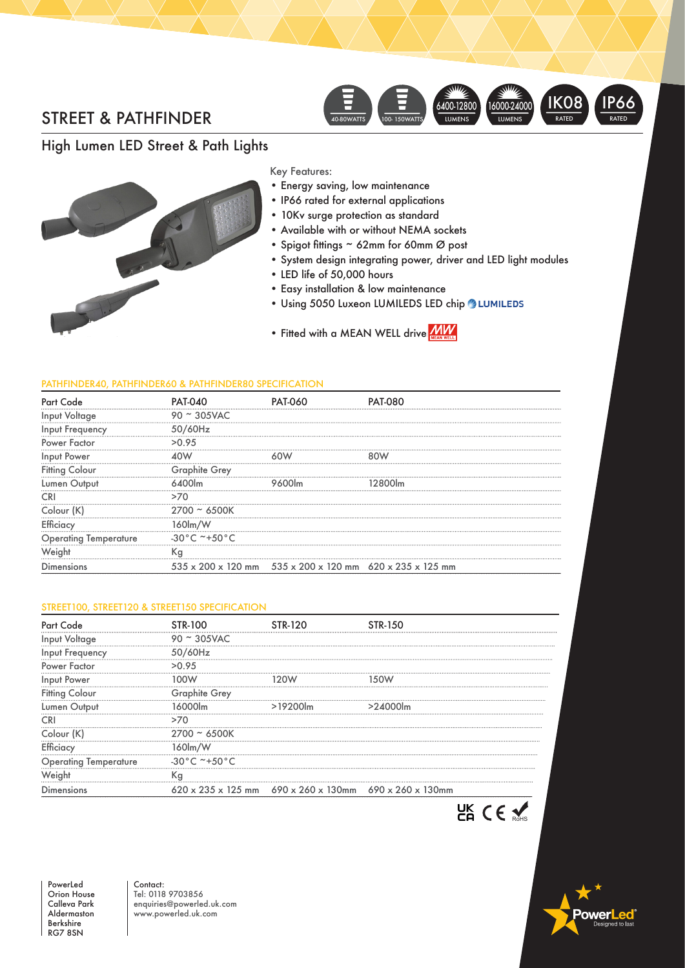# STREET & PATHFINDER



### High Lumen LED Street & Path Lights

Key Features:

- Energy saving, low maintenance
	- IP66 rated for external applications
	- 10Kv surge protection as standard
	- Available with or without NEMA sockets
	- Spigot fittings ~ 62mm for 60mm Ø post
	- System design integrating power, driver and LED light modules
	- LED life of 50,000 hours
	- Easy installation & low maintenance
	- Using 5050 Luxeon LUMILEDS LED chip LUMILEDS
	- Fitted with a MEAN WELL driver

#### PATHFINDER40, PATHFINDER60 & PATHFINDER80 SPECIFICATION

|                              | PA                      |                                                                                              |  |
|------------------------------|-------------------------|----------------------------------------------------------------------------------------------|--|
| Input Voltage                | $90 \sim 305$ VAC       |                                                                                              |  |
| <br>Input Frequency          | 50/60Hz                 |                                                                                              |  |
| Power Factor                 | >0.95                   |                                                                                              |  |
| Input Power                  |                         |                                                                                              |  |
| <b>Fitting Colour</b>        | <b>Graphite Grey</b>    |                                                                                              |  |
| Lumen Output                 |                         |                                                                                              |  |
|                              |                         |                                                                                              |  |
|                              |                         |                                                                                              |  |
|                              | 160lm                   |                                                                                              |  |
| <b>Operating Temperature</b> | $-30^{\circ}$ C ~+50 °C |                                                                                              |  |
|                              | Кg                      |                                                                                              |  |
| Dimensions                   |                         | $535 \times 200 \times 120$ mm $535 \times 200 \times 120$ mm $620 \times 235 \times 125$ mm |  |

#### STREET100, STREET120 & STREET150 SPECIFICATION

| Part                  |                                   |                                                                                              |  |
|-----------------------|-----------------------------------|----------------------------------------------------------------------------------------------|--|
| Input Voltage         | $90 \approx 305$ VAC              |                                                                                              |  |
| Input Frequency       | '60Hz<br>51                       |                                                                                              |  |
| Power Factor          | >0.95                             |                                                                                              |  |
| Input Power           |                                   |                                                                                              |  |
| <b>Fitting Colour</b> | <b>Graphite Grey</b>              |                                                                                              |  |
|                       |                                   |                                                                                              |  |
|                       |                                   |                                                                                              |  |
|                       | 2700 ~ 6500K                      |                                                                                              |  |
|                       | i60lm/W                           |                                                                                              |  |
| Operating lemperatu   | $-30^{\circ}$ C ~+50 $^{\circ}$ C |                                                                                              |  |
|                       | Кc                                |                                                                                              |  |
| <b>Jimensions</b>     |                                   | $620 \times 235 \times 125$ mm $690 \times 260 \times 130$ mm $690 \times 260 \times 130$ mm |  |



PowerLed Orion House Calleva Park Aldermaston Berkshire RG7 8SN

Contact: Tel: 0118 9703856 enquiries@powerled.uk.com www.powerled.uk.com

owerl